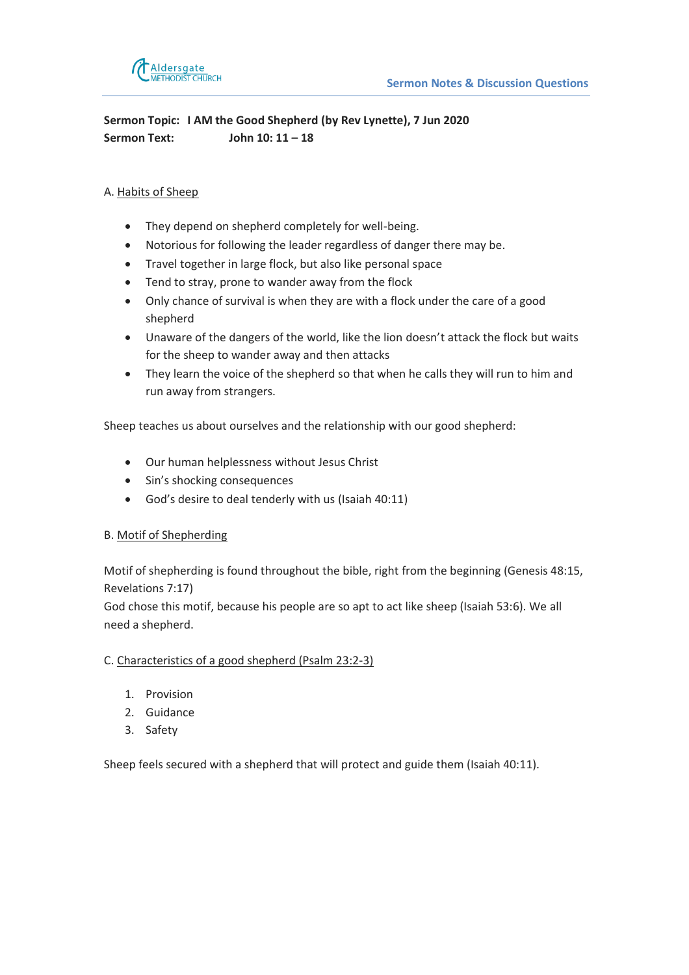

**Sermon Topic: I AM the Good Shepherd (by Rev Lynette), 7 Jun 2020 Sermon Text: John 10: 11 – 18** 

## A. Habits of Sheep

- They depend on shepherd completely for well-being.
- Notorious for following the leader regardless of danger there may be.
- Travel together in large flock, but also like personal space
- Tend to stray, prone to wander away from the flock
- Only chance of survival is when they are with a flock under the care of a good shepherd
- Unaware of the dangers of the world, like the lion doesn't attack the flock but waits for the sheep to wander away and then attacks
- They learn the voice of the shepherd so that when he calls they will run to him and run away from strangers.

Sheep teaches us about ourselves and the relationship with our good shepherd:

- Our human helplessness without Jesus Christ
- Sin's shocking consequences
- God's desire to deal tenderly with us (Isaiah 40:11)

## B. Motif of Shepherding

Motif of shepherding is found throughout the bible, right from the beginning (Genesis 48:15, Revelations 7:17)

God chose this motif, because his people are so apt to act like sheep (Isaiah 53:6). We all need a shepherd.

## C. Characteristics of a good shepherd (Psalm 23:2-3)

- 1. Provision
- 2. Guidance
- 3. Safety

Sheep feels secured with a shepherd that will protect and guide them (Isaiah 40:11).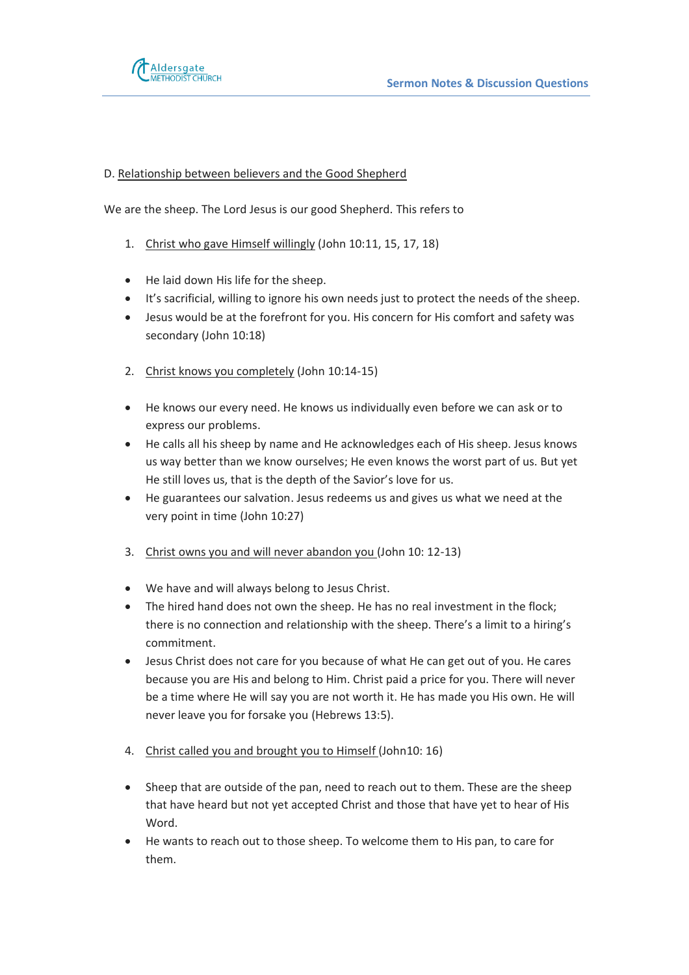

## D. Relationship between believers and the Good Shepherd

We are the sheep. The Lord Jesus is our good Shepherd. This refers to

- 1. Christ who gave Himself willingly (John 10:11, 15, 17, 18)
- He laid down His life for the sheep.
- It's sacrificial, willing to ignore his own needs just to protect the needs of the sheep.
- Jesus would be at the forefront for you. His concern for His comfort and safety was secondary (John 10:18)
- 2. Christ knows you completely (John 10:14-15)
- He knows our every need. He knows us individually even before we can ask or to express our problems.
- He calls all his sheep by name and He acknowledges each of His sheep. Jesus knows us way better than we know ourselves; He even knows the worst part of us. But yet He still loves us, that is the depth of the Savior's love for us.
- He guarantees our salvation. Jesus redeems us and gives us what we need at the very point in time (John 10:27)
- 3. Christ owns you and will never abandon you (John 10: 12-13)
- We have and will always belong to Jesus Christ.
- The hired hand does not own the sheep. He has no real investment in the flock; there is no connection and relationship with the sheep. There's a limit to a hiring's commitment.
- Jesus Christ does not care for you because of what He can get out of you. He cares because you are His and belong to Him. Christ paid a price for you. There will never be a time where He will say you are not worth it. He has made you His own. He will never leave you for forsake you (Hebrews 13:5).
- 4. Christ called you and brought you to Himself (John10: 16)
- Sheep that are outside of the pan, need to reach out to them. These are the sheep that have heard but not yet accepted Christ and those that have yet to hear of His Word.
- He wants to reach out to those sheep. To welcome them to His pan, to care for them.